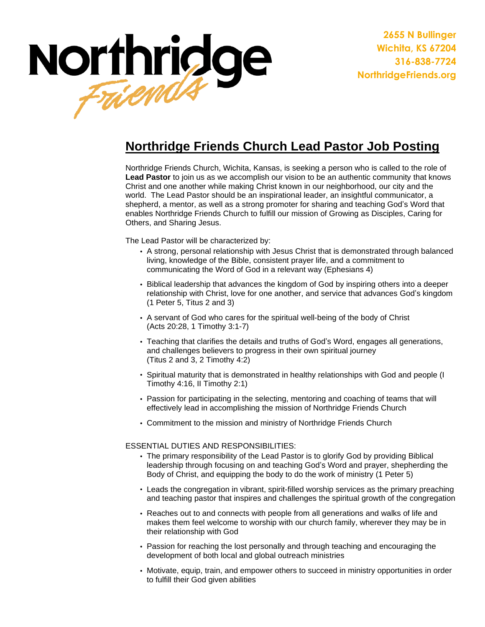

**2655 N Bullinger Wichita, KS 67204 316-838-7724 NorthridgeFriends.org**

## **Northridge Friends Church Lead Pastor Job Posting**

Northridge Friends Church, Wichita, Kansas, is seeking a person who is called to the role of **Lead Pastor** to join us as we accomplish our vision to be an authentic community that knows Christ and one another while making Christ known in our neighborhood, our city and the world. The Lead Pastor should be an inspirational leader, an insightful communicator, a shepherd, a mentor, as well as a strong promoter for sharing and teaching God's Word that enables Northridge Friends Church to fulfill our mission of Growing as Disciples, Caring for Others, and Sharing Jesus.

The Lead Pastor will be characterized by:

- A strong, personal relationship with Jesus Christ that is demonstrated through balanced living, knowledge of the Bible, consistent prayer life, and a commitment to communicating the Word of God in a relevant way (Ephesians 4)
- Biblical leadership that advances the kingdom of God by inspiring others into a deeper relationship with Christ, love for one another, and service that advances God's kingdom (1 Peter 5, Titus 2 and 3)
- A servant of God who cares for the spiritual well-being of the body of Christ (Acts 20:28, 1 Timothy 3:1-7)
- Teaching that clarifies the details and truths of God's Word, engages all generations, and challenges believers to progress in their own spiritual journey (Titus 2 and 3, 2 Timothy 4:2)
- Spiritual maturity that is demonstrated in healthy relationships with God and people (I Timothy 4:16, II Timothy 2:1)
- Passion for participating in the selecting, mentoring and coaching of teams that will effectively lead in accomplishing the mission of Northridge Friends Church
- Commitment to the mission and ministry of Northridge Friends Church

ESSENTIAL DUTIES AND RESPONSIBILITIES:

- The primary responsibility of the Lead Pastor is to glorify God by providing Biblical leadership through focusing on and teaching God's Word and prayer, shepherding the Body of Christ, and equipping the body to do the work of ministry (1 Peter 5)
- Leads the congregation in vibrant, spirit-filled worship services as the primary preaching and teaching pastor that inspires and challenges the spiritual growth of the congregation
- Reaches out to and connects with people from all generations and walks of life and makes them feel welcome to worship with our church family, wherever they may be in their relationship with God
- Passion for reaching the lost personally and through teaching and encouraging the development of both local and global outreach ministries
- Motivate, equip, train, and empower others to succeed in ministry opportunities in order to fulfill their God given abilities